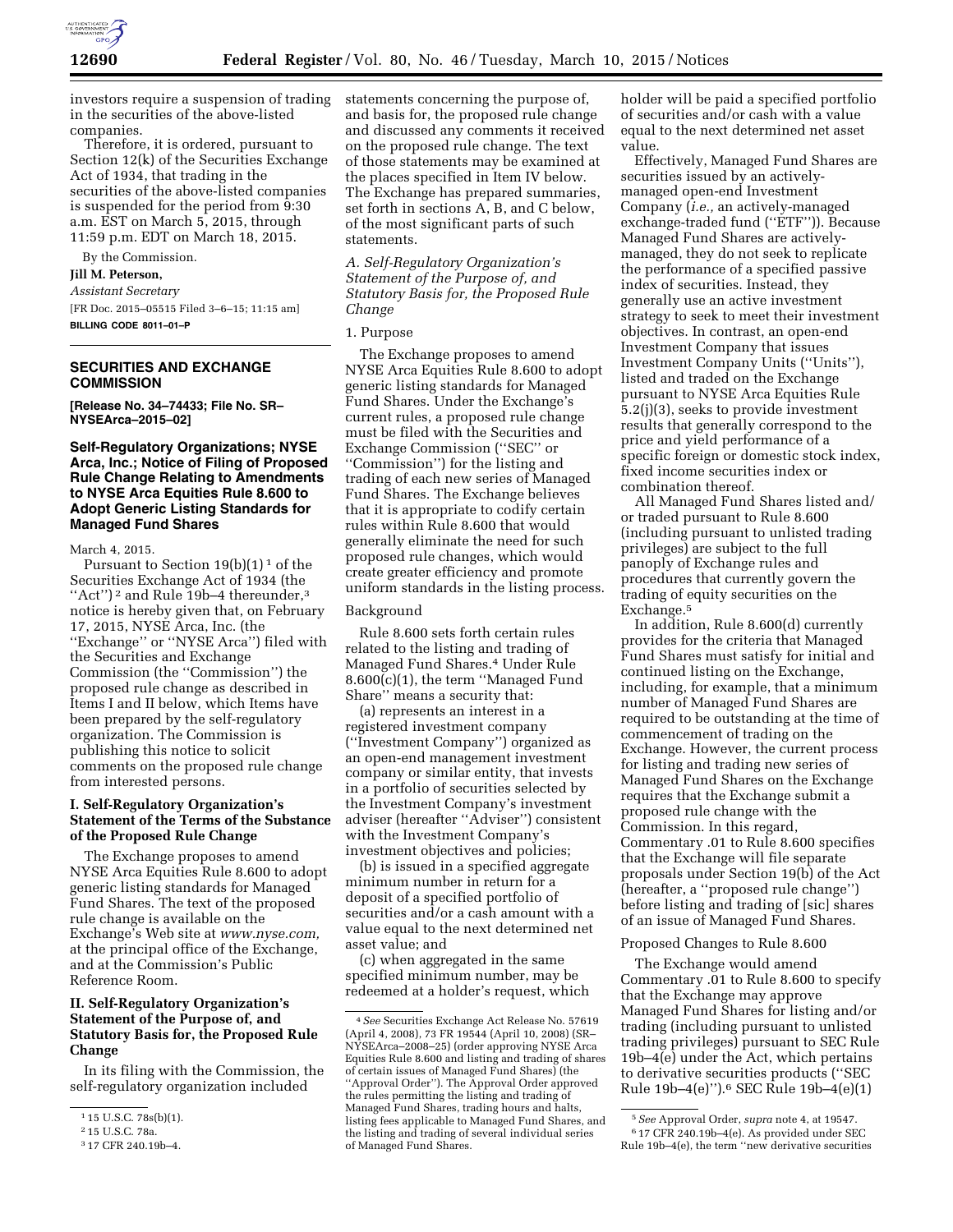

investors require a suspension of trading in the securities of the above-listed companies.

Therefore, it is ordered, pursuant to Section 12(k) of the Securities Exchange Act of 1934, that trading in the securities of the above-listed companies is suspended for the period from 9:30 a.m. EST on March 5, 2015, through 11:59 p.m. EDT on March 18, 2015.

# By the Commission.

**Jill M. Peterson,** 

*Assistant Secretary* 

[FR Doc. 2015–05515 Filed 3–6–15; 11:15 am] **BILLING CODE 8011–01–P** 

## **SECURITIES AND EXCHANGE COMMISSION**

**[Release No. 34–74433; File No. SR– NYSEArca–2015–02]** 

### **Self-Regulatory Organizations; NYSE Arca, Inc.; Notice of Filing of Proposed Rule Change Relating to Amendments to NYSE Arca Equities Rule 8.600 to Adopt Generic Listing Standards for Managed Fund Shares**

March 4, 2015.

Pursuant to Section  $19(b)(1)^1$  of the Securities Exchange Act of 1934 (the "Act")<sup>2</sup> and Rule 19b-4 thereunder,<sup>3</sup> notice is hereby given that, on February 17, 2015, NYSE Arca, Inc. (the ''Exchange'' or ''NYSE Arca'') filed with the Securities and Exchange Commission (the ''Commission'') the proposed rule change as described in Items I and II below, which Items have been prepared by the self-regulatory organization. The Commission is publishing this notice to solicit comments on the proposed rule change from interested persons.

# **I. Self-Regulatory Organization's Statement of the Terms of the Substance of the Proposed Rule Change**

The Exchange proposes to amend NYSE Arca Equities Rule 8.600 to adopt generic listing standards for Managed Fund Shares. The text of the proposed rule change is available on the Exchange's Web site at *[www.nyse.com,](http://www.nyse.com)*  at the principal office of the Exchange, and at the Commission's Public Reference Room.

# **II. Self-Regulatory Organization's Statement of the Purpose of, and Statutory Basis for, the Proposed Rule Change**

In its filing with the Commission, the self-regulatory organization included

statements concerning the purpose of, and basis for, the proposed rule change and discussed any comments it received on the proposed rule change. The text of those statements may be examined at the places specified in Item IV below. The Exchange has prepared summaries, set forth in sections A, B, and C below, of the most significant parts of such statements.

*A. Self-Regulatory Organization's Statement of the Purpose of, and Statutory Basis for, the Proposed Rule Change* 

### 1. Purpose

The Exchange proposes to amend NYSE Arca Equities Rule 8.600 to adopt generic listing standards for Managed Fund Shares. Under the Exchange's current rules, a proposed rule change must be filed with the Securities and Exchange Commission (''SEC'' or ''Commission'') for the listing and trading of each new series of Managed Fund Shares. The Exchange believes that it is appropriate to codify certain rules within Rule 8.600 that would generally eliminate the need for such proposed rule changes, which would create greater efficiency and promote uniform standards in the listing process.

#### Background

Rule 8.600 sets forth certain rules related to the listing and trading of Managed Fund Shares.4 Under Rule 8.600(c)(1), the term ''Managed Fund Share'' means a security that:

(a) represents an interest in a registered investment company (''Investment Company'') organized as an open-end management investment company or similar entity, that invests in a portfolio of securities selected by the Investment Company's investment adviser (hereafter ''Adviser'') consistent with the Investment Company's investment objectives and policies;

(b) is issued in a specified aggregate minimum number in return for a deposit of a specified portfolio of securities and/or a cash amount with a value equal to the next determined net asset value; and

(c) when aggregated in the same specified minimum number, may be redeemed at a holder's request, which holder will be paid a specified portfolio of securities and/or cash with a value equal to the next determined net asset value.

Effectively, Managed Fund Shares are securities issued by an activelymanaged open-end Investment Company (*i.e.,* an actively-managed exchange-traded fund (''ETF'')). Because Managed Fund Shares are activelymanaged, they do not seek to replicate the performance of a specified passive index of securities. Instead, they generally use an active investment strategy to seek to meet their investment objectives. In contrast, an open-end Investment Company that issues Investment Company Units (''Units''), listed and traded on the Exchange pursuant to NYSE Arca Equities Rule 5.2(j)(3), seeks to provide investment results that generally correspond to the price and yield performance of a specific foreign or domestic stock index, fixed income securities index or combination thereof.

All Managed Fund Shares listed and/ or traded pursuant to Rule 8.600 (including pursuant to unlisted trading privileges) are subject to the full panoply of Exchange rules and procedures that currently govern the trading of equity securities on the Exchange.<sup>5</sup>

In addition, Rule 8.600(d) currently provides for the criteria that Managed Fund Shares must satisfy for initial and continued listing on the Exchange, including, for example, that a minimum number of Managed Fund Shares are required to be outstanding at the time of commencement of trading on the Exchange. However, the current process for listing and trading new series of Managed Fund Shares on the Exchange requires that the Exchange submit a proposed rule change with the Commission. In this regard, Commentary .01 to Rule 8.600 specifies that the Exchange will file separate proposals under Section 19(b) of the Act (hereafter, a ''proposed rule change'') before listing and trading of [sic] shares of an issue of Managed Fund Shares.

#### Proposed Changes to Rule 8.600

The Exchange would amend Commentary .01 to Rule 8.600 to specify that the Exchange may approve Managed Fund Shares for listing and/or trading (including pursuant to unlisted trading privileges) pursuant to SEC Rule 19b–4(e) under the Act, which pertains to derivative securities products (''SEC Rule 19b–4(e)'').6 SEC Rule 19b–4(e)(1)

<sup>1</sup> 15 U.S.C. 78s(b)(1).

<sup>2</sup> 15 U.S.C. 78a.

<sup>3</sup> 17 CFR 240.19b–4.

<sup>4</sup>*See* Securities Exchange Act Release No. 57619 (April 4, 2008), 73 FR 19544 (April 10, 2008) (SR– NYSEArca–2008–25) (order approving NYSE Arca Equities Rule 8.600 and listing and trading of shares of certain issues of Managed Fund Shares) (the ''Approval Order''). The Approval Order approved the rules permitting the listing and trading of Managed Fund Shares, trading hours and halts, listing fees applicable to Managed Fund Shares, and the listing and trading of several individual series of Managed Fund Shares.

<sup>5</sup>*See* Approval Order, *supra* note 4, at 19547. 6 17 CFR 240.19b–4(e). As provided under SEC Rule 19b–4(e), the term ''new derivative securities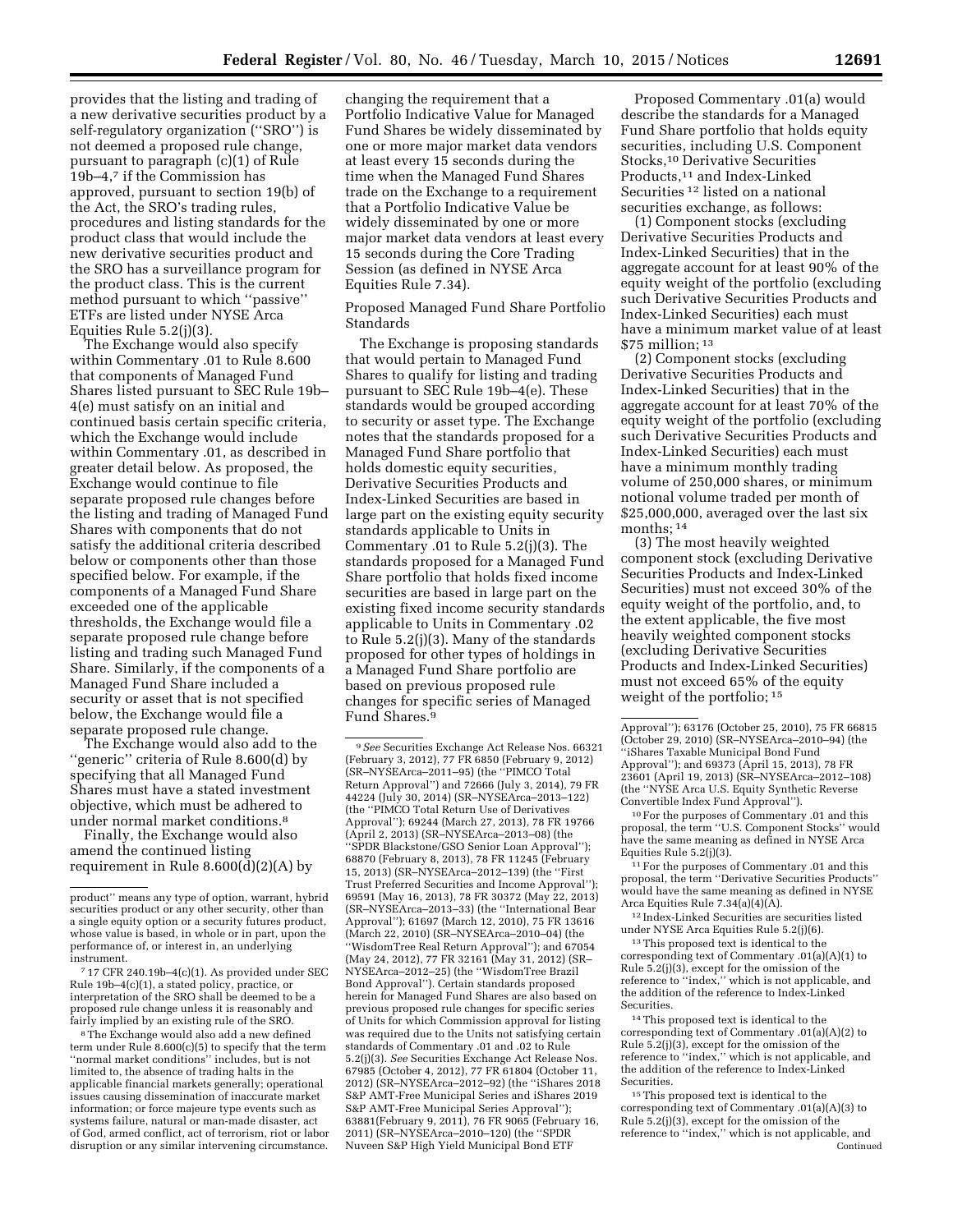provides that the listing and trading of a new derivative securities product by a self-regulatory organization (''SRO'') is not deemed a proposed rule change, pursuant to paragraph (c)(1) of Rule 19b–4,7 if the Commission has approved, pursuant to section 19(b) of the Act, the SRO's trading rules, procedures and listing standards for the product class that would include the new derivative securities product and the SRO has a surveillance program for the product class. This is the current method pursuant to which ''passive'' ETFs are listed under NYSE Arca Equities Rule 5.2(j)(3).

The Exchange would also specify within Commentary .01 to Rule 8.600 that components of Managed Fund Shares listed pursuant to SEC Rule 19b– 4(e) must satisfy on an initial and continued basis certain specific criteria, which the Exchange would include within Commentary .01, as described in greater detail below. As proposed, the Exchange would continue to file separate proposed rule changes before the listing and trading of Managed Fund Shares with components that do not satisfy the additional criteria described below or components other than those specified below. For example, if the components of a Managed Fund Share exceeded one of the applicable thresholds, the Exchange would file a separate proposed rule change before listing and trading such Managed Fund Share. Similarly, if the components of a Managed Fund Share included a security or asset that is not specified below, the Exchange would file a separate proposed rule change.

The Exchange would also add to the ''generic'' criteria of Rule 8.600(d) by specifying that all Managed Fund Shares must have a stated investment objective, which must be adhered to under normal market conditions.<sup>8</sup>

Finally, the Exchange would also amend the continued listing requirement in Rule 8.600(d)(2)(A) by

7 17 CFR 240.19b–4(c)(1). As provided under SEC Rule 19b–4(c)(1), a stated policy, practice, or interpretation of the SRO shall be deemed to be a proposed rule change unless it is reasonably and fairly implied by an existing rule of the SRO.

8The Exchange would also add a new defined term under Rule  $8.600(c)(5)$  to specify that the term 'normal market conditions'' includes, but is not limited to, the absence of trading halts in the applicable financial markets generally; operational issues causing dissemination of inaccurate market information; or force majeure type events such as systems failure, natural or man-made disaster, act of God, armed conflict, act of terrorism, riot or labor disruption or any similar intervening circumstance.

changing the requirement that a Portfolio Indicative Value for Managed Fund Shares be widely disseminated by one or more major market data vendors at least every 15 seconds during the time when the Managed Fund Shares trade on the Exchange to a requirement that a Portfolio Indicative Value be widely disseminated by one or more major market data vendors at least every 15 seconds during the Core Trading Session (as defined in NYSE Arca Equities Rule 7.34).

Proposed Managed Fund Share Portfolio Standards

The Exchange is proposing standards that would pertain to Managed Fund Shares to qualify for listing and trading pursuant to SEC Rule 19b–4(e). These standards would be grouped according to security or asset type. The Exchange notes that the standards proposed for a Managed Fund Share portfolio that holds domestic equity securities, Derivative Securities Products and Index-Linked Securities are based in large part on the existing equity security standards applicable to Units in Commentary .01 to Rule 5.2(j)(3). The standards proposed for a Managed Fund Share portfolio that holds fixed income securities are based in large part on the existing fixed income security standards applicable to Units in Commentary .02 to Rule 5.2(j)(3). Many of the standards proposed for other types of holdings in a Managed Fund Share portfolio are based on previous proposed rule changes for specific series of Managed Fund Shares.9

Proposed Commentary .01(a) would describe the standards for a Managed Fund Share portfolio that holds equity securities, including U.S. Component Stocks,10 Derivative Securities Products,<sup>11</sup> and Index-Linked Securities 12 listed on a national securities exchange, as follows:

(1) Component stocks (excluding Derivative Securities Products and Index-Linked Securities) that in the aggregate account for at least 90% of the equity weight of the portfolio (excluding such Derivative Securities Products and Index-Linked Securities) each must have a minimum market value of at least \$75 million; 13

(2) Component stocks (excluding Derivative Securities Products and Index-Linked Securities) that in the aggregate account for at least 70% of the equity weight of the portfolio (excluding such Derivative Securities Products and Index-Linked Securities) each must have a minimum monthly trading volume of 250,000 shares, or minimum notional volume traded per month of \$25,000,000, averaged over the last six months;  $14$ 

(3) The most heavily weighted component stock (excluding Derivative Securities Products and Index-Linked Securities) must not exceed 30% of the equity weight of the portfolio, and, to the extent applicable, the five most heavily weighted component stocks (excluding Derivative Securities Products and Index-Linked Securities) must not exceed 65% of the equity weight of the portfolio; 15

10For the purposes of Commentary .01 and this proposal, the term ''U.S. Component Stocks'' would have the same meaning as defined in NYSE Arca Equities Rule 5.2(j)(3).

11For the purposes of Commentary .01 and this proposal, the term ''Derivative Securities Products'' would have the same meaning as defined in NYSE Arca Equities Rule 7.34(a)(4)(A).

12 Index-Linked Securities are securities listed under NYSE Arca Equities Rule 5.2(j)(6).

13This proposed text is identical to the corresponding text of Commentary .01(a)(A)(1) to Rule 5.2(j)(3), except for the omission of the reference to ''index,'' which is not applicable, and the addition of the reference to Index-Linked Securities.

14This proposed text is identical to the corresponding text of Commentary .01(a)(A)(2) to Rule 5.2(j)(3), except for the omission of the reference to ''index,'' which is not applicable, and the addition of the reference to Index-Linked Securities.

15This proposed text is identical to the corresponding text of Commentary .01(a)(A)(3) to Rule 5.2(j)(3), except for the omission of the reference to ''index,'' which is not applicable, and Continued

product'' means any type of option, warrant, hybrid securities product or any other security, other than a single equity option or a security futures product, whose value is based, in whole or in part, upon the performance of, or interest in, an underlying instrument.

<sup>9</sup>*See* Securities Exchange Act Release Nos. 66321 (February 3, 2012), 77 FR 6850 (February 9, 2012) (SR–NYSEArca–2011–95) (the ''PIMCO Total Return Approval'') and 72666 (July 3, 2014), 79 FR 44224 (July 30, 2014) (SR–NYSEArca–2013–122) (the ''PIMCO Total Return Use of Derivatives Approval''); 69244 (March 27, 2013), 78 FR 19766 (April 2, 2013) (SR–NYSEArca–2013–08) (the ''SPDR Blackstone/GSO Senior Loan Approval''); 68870 (February 8, 2013), 78 FR 11245 (February 15, 2013) (SR–NYSEArca–2012–139) (the ''First Trust Preferred Securities and Income Approval''); 69591 (May 16, 2013), 78 FR 30372 (May 22, 2013) (SR–NYSEArca–2013–33) (the ''International Bear Approval''); 61697 (March 12, 2010), 75 FR 13616 (March 22, 2010) (SR–NYSEArca–2010–04) (the ''WisdomTree Real Return Approval''); and 67054 (May 24, 2012), 77 FR 32161 (May 31, 2012) (SR– NYSEArca–2012–25) (the ''WisdomTree Brazil Bond Approval''). Certain standards proposed herein for Managed Fund Shares are also based on previous proposed rule changes for specific series of Units for which Commission approval for listing was required due to the Units not satisfying certain standards of Commentary .01 and .02 to Rule 5.2(j)(3). *See* Securities Exchange Act Release Nos. 67985 (October 4, 2012), 77 FR 61804 (October 11, 2012) (SR–NYSEArca–2012–92) (the ''iShares 2018 S&P AMT-Free Municipal Series and iShares 2019 S&P AMT-Free Municipal Series Approval''); 63881(February 9, 2011), 76 FR 9065 (February 16, 2011) (SR–NYSEArca–2010–120) (the ''SPDR Nuveen S&P High Yield Municipal Bond ETF

Approval''); 63176 (October 25, 2010), 75 FR 66815 (October 29, 2010) (SR–NYSEArca–2010–94) (the ''iShares Taxable Municipal Bond Fund Approval''); and 69373 (April 15, 2013), 78 FR 23601 (April 19, 2013) (SR–NYSEArca–2012–108) (the ''NYSE Arca U.S. Equity Synthetic Reverse Convertible Index Fund Approval'').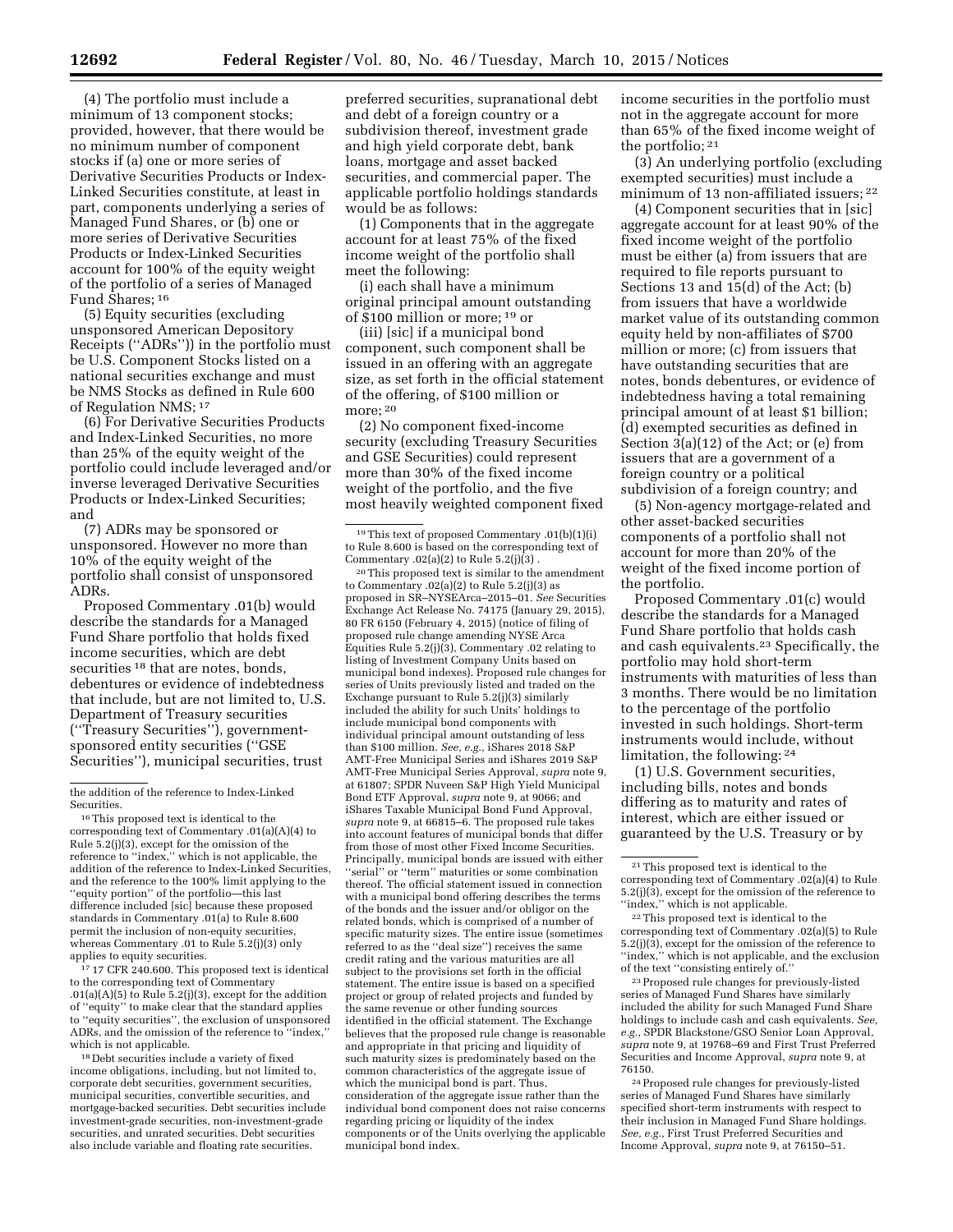(4) The portfolio must include a minimum of 13 component stocks; provided, however, that there would be no minimum number of component stocks if (a) one or more series of Derivative Securities Products or Index-Linked Securities constitute, at least in part, components underlying a series of Managed Fund Shares, or (b) one or more series of Derivative Securities Products or Index-Linked Securities account for 100% of the equity weight of the portfolio of a series of Managed Fund Shares; 16

(5) Equity securities (excluding unsponsored American Depository Receipts (''ADRs'')) in the portfolio must be U.S. Component Stocks listed on a national securities exchange and must be NMS Stocks as defined in Rule 600 of Regulation NMS; 17

(6) For Derivative Securities Products and Index-Linked Securities, no more than 25% of the equity weight of the portfolio could include leveraged and/or inverse leveraged Derivative Securities Products or Index-Linked Securities; and

(7) ADRs may be sponsored or unsponsored. However no more than 10% of the equity weight of the portfolio shall consist of unsponsored ADRs.

Proposed Commentary .01(b) would describe the standards for a Managed Fund Share portfolio that holds fixed income securities, which are debt securities <sup>18</sup> that are notes, bonds, debentures or evidence of indebtedness that include, but are not limited to, U.S. Department of Treasury securities (''Treasury Securities''), governmentsponsored entity securities (''GSE Securities''), municipal securities, trust

17 17 CFR 240.600. This proposed text is identical to the corresponding text of Commentary .01(a)(A)(5) to Rule 5.2(j)(3), except for the addition of ''equity'' to make clear that the standard applies to ''equity securities'', the exclusion of unsponsored ADRs, and the omission of the reference to ''index,'' which is not applicable.

18 Debt securities include a variety of fixed income obligations, including, but not limited to, corporate debt securities, government securities, municipal securities, convertible securities, and mortgage-backed securities. Debt securities include investment-grade securities, non-investment-grade securities, and unrated securities. Debt securities also include variable and floating rate securities.

preferred securities, supranational debt and debt of a foreign country or a subdivision thereof, investment grade and high yield corporate debt, bank loans, mortgage and asset backed securities, and commercial paper. The applicable portfolio holdings standards would be as follows:

(1) Components that in the aggregate account for at least 75% of the fixed income weight of the portfolio shall meet the following:

(i) each shall have a minimum original principal amount outstanding of \$100 million or more; 19 or

(iii) [sic] if a municipal bond component, such component shall be issued in an offering with an aggregate size, as set forth in the official statement of the offering, of \$100 million or more; 20

(2) No component fixed-income security (excluding Treasury Securities and GSE Securities) could represent more than 30% of the fixed income weight of the portfolio, and the five most heavily weighted component fixed

20This proposed text is similar to the amendment to Commentary  $.02(a)(2)$  to Rule 5.2(j)(3) as proposed in SR–NYSEArca–2015–01. *See* Securities Exchange Act Release No. 74175 (January 29, 2015), 80 FR 6150 (February 4, 2015) (notice of filing of proposed rule change amending NYSE Arca Equities Rule 5.2(j)(3), Commentary .02 relating to listing of Investment Company Units based on municipal bond indexes). Proposed rule changes for series of Units previously listed and traded on the Exchange pursuant to Rule 5.2(j)(3) similarly included the ability for such Units' holdings to include municipal bond components with individual principal amount outstanding of less than \$100 million. *See, e.g.,* iShares 2018 S&P AMT-Free Municipal Series and iShares 2019 S&P AMT-Free Municipal Series Approval, *supra* note 9, at 61807; SPDR Nuveen S&P High Yield Municipal Bond ETF Approval, *supra* note 9, at 9066; and iShares Taxable Municipal Bond Fund Approval, *supra* note 9, at 66815–6. The proposed rule takes into account features of municipal bonds that differ from those of most other Fixed Income Securities. Principally, municipal bonds are issued with either ''serial'' or ''term'' maturities or some combination thereof. The official statement issued in connection with a municipal bond offering describes the terms of the bonds and the issuer and/or obligor on the related bonds, which is comprised of a number of specific maturity sizes. The entire issue (sometimes referred to as the ''deal size'') receives the same credit rating and the various maturities are all subject to the provisions set forth in the official statement. The entire issue is based on a specified project or group of related projects and funded by the same revenue or other funding sources identified in the official statement. The Exchange believes that the proposed rule change is reasonable and appropriate in that pricing and liquidity of such maturity sizes is predominately based on the common characteristics of the aggregate issue of which the municipal bond is part. Thus, consideration of the aggregate issue rather than the individual bond component does not raise concerns regarding pricing or liquidity of the index components or of the Units overlying the applicable municipal bond index.

income securities in the portfolio must not in the aggregate account for more than 65% of the fixed income weight of the portfolio; 21

(3) An underlying portfolio (excluding exempted securities) must include a minimum of 13 non-affiliated issuers: 22

(4) Component securities that in [sic] aggregate account for at least 90% of the fixed income weight of the portfolio must be either (a) from issuers that are required to file reports pursuant to Sections 13 and 15(d) of the Act; (b) from issuers that have a worldwide market value of its outstanding common equity held by non-affiliates of \$700 million or more; (c) from issuers that have outstanding securities that are notes, bonds debentures, or evidence of indebtedness having a total remaining principal amount of at least \$1 billion; (d) exempted securities as defined in Section  $3(a)(12)$  of the Act; or (e) from issuers that are a government of a foreign country or a political subdivision of a foreign country; and

(5) Non-agency mortgage-related and other asset-backed securities components of a portfolio shall not account for more than 20% of the weight of the fixed income portion of the portfolio.

Proposed Commentary .01(c) would describe the standards for a Managed Fund Share portfolio that holds cash and cash equivalents.23 Specifically, the portfolio may hold short-term instruments with maturities of less than 3 months. There would be no limitation to the percentage of the portfolio invested in such holdings. Short-term instruments would include, without limitation, the following: 24

(1) U.S. Government securities, including bills, notes and bonds differing as to maturity and rates of interest, which are either issued or guaranteed by the U.S. Treasury or by

23Proposed rule changes for previously-listed series of Managed Fund Shares have similarly included the ability for such Managed Fund Share holdings to include cash and cash equivalents. *See, e.g.,* SPDR Blackstone/GSO Senior Loan Approval, *supra* note 9, at 19768–69 and First Trust Preferred Securities and Income Approval, *supra* note 9, at 76150.

24Proposed rule changes for previously-listed series of Managed Fund Shares have similarly specified short-term instruments with respect to their inclusion in Managed Fund Share holdings. *See, e.g.,* First Trust Preferred Securities and Income Approval, *supra* note 9, at 76150–51.

the addition of the reference to Index-Linked Securities.

<sup>16</sup>This proposed text is identical to the corresponding text of Commentary .01(a)(A)(4) to Rule 5.2(j)(3), except for the omission of the reference to ''index,'' which is not applicable, the addition of the reference to Index-Linked Securities, and the reference to the 100% limit applying to the ''equity portion'' of the portfolio—this last difference included [sic] because these proposed standards in Commentary .01(a) to Rule 8.600 permit the inclusion of non-equity securities, whereas Commentary .01 to Rule 5.2(j)(3) only applies to equity securities.

<sup>19</sup>This text of proposed Commentary .01(b)(1)(i) to Rule 8.600 is based on the corresponding text of Commentary  $.02(a)(2)$  to Rule 5.2(j)(3).

<sup>21</sup>This proposed text is identical to the corresponding text of Commentary .02(a)(4) to Rule 5.2(j)(3), except for the omission of the reference to ''index,'' which is not applicable.

<sup>22</sup>This proposed text is identical to the corresponding text of Commentary .02(a)(5) to Rule 5.2(j)(3), except for the omission of the reference to ''index,'' which is not applicable, and the exclusion of the text ''consisting entirely of.''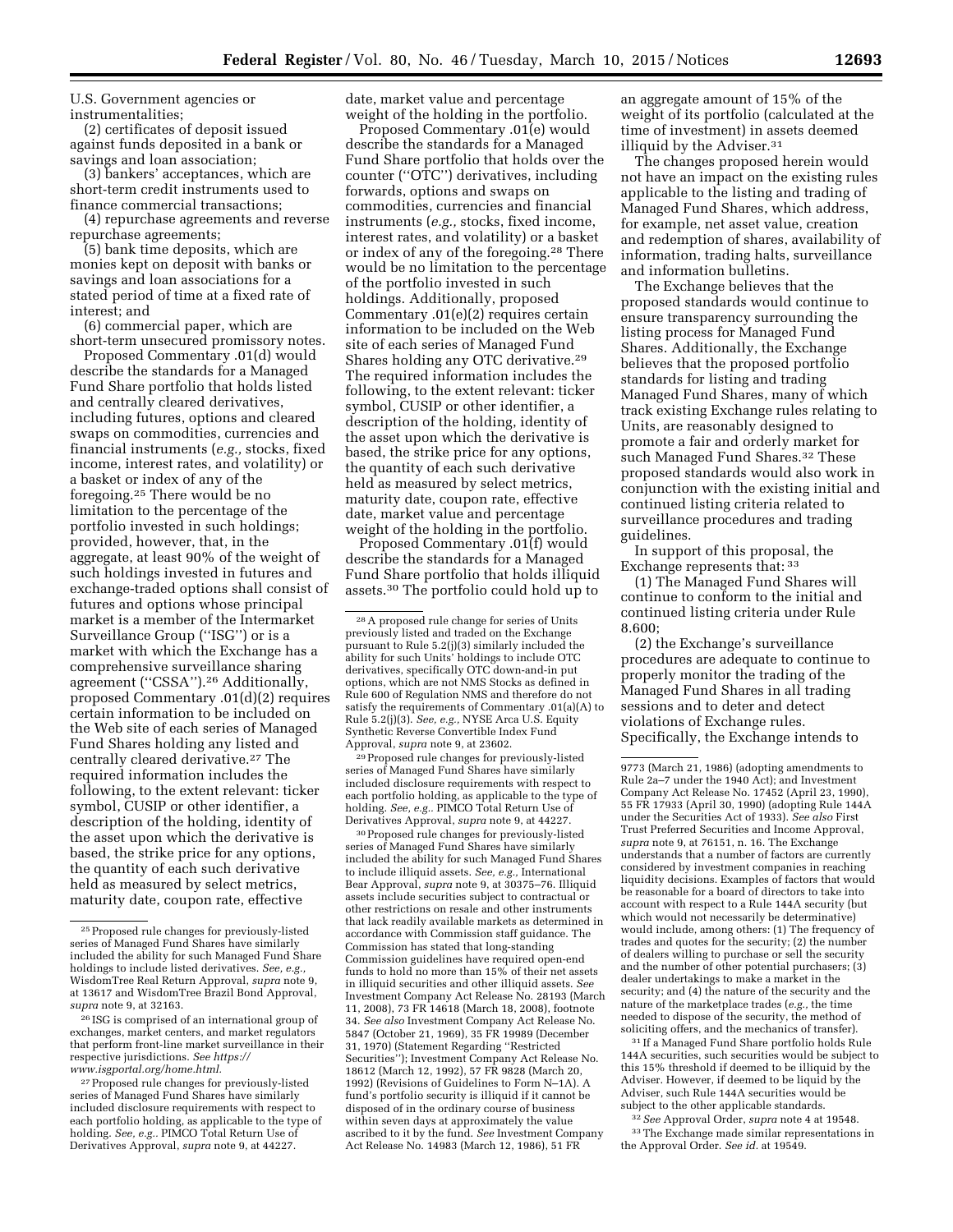U.S. Government agencies or instrumentalities;

(2) certificates of deposit issued against funds deposited in a bank or savings and loan association;

(3) bankers' acceptances, which are short-term credit instruments used to finance commercial transactions;

(4) repurchase agreements and reverse repurchase agreements;

(5) bank time deposits, which are monies kept on deposit with banks or savings and loan associations for a stated period of time at a fixed rate of interest; and

(6) commercial paper, which are short-term unsecured promissory notes.

Proposed Commentary .01(d) would describe the standards for a Managed Fund Share portfolio that holds listed and centrally cleared derivatives, including futures, options and cleared swaps on commodities, currencies and financial instruments (*e.g.,* stocks, fixed income, interest rates, and volatility) or a basket or index of any of the foregoing.25 There would be no limitation to the percentage of the portfolio invested in such holdings; provided, however, that, in the aggregate, at least 90% of the weight of such holdings invested in futures and exchange-traded options shall consist of futures and options whose principal market is a member of the Intermarket Surveillance Group (''ISG'') or is a market with which the Exchange has a comprehensive surveillance sharing agreement ("CSSA").<sup>26</sup> Additionally, proposed Commentary .01(d)(2) requires certain information to be included on the Web site of each series of Managed Fund Shares holding any listed and centrally cleared derivative.<sup>27</sup> The required information includes the following, to the extent relevant: ticker symbol, CUSIP or other identifier, a description of the holding, identity of the asset upon which the derivative is based, the strike price for any options, the quantity of each such derivative held as measured by select metrics, maturity date, coupon rate, effective

26 ISG is comprised of an international group of exchanges, market centers, and market regulators that perform front-line market surveillance in their respective jurisdictions. *See [https://](https://www.isgportal.org/home.html) [www.isgportal.org/home.html.](https://www.isgportal.org/home.html)* 

date, market value and percentage weight of the holding in the portfolio.

Proposed Commentary .01(e) would describe the standards for a Managed Fund Share portfolio that holds over the counter (''OTC'') derivatives, including forwards, options and swaps on commodities, currencies and financial instruments (*e.g.,* stocks, fixed income, interest rates, and volatility) or a basket or index of any of the foregoing.28 There would be no limitation to the percentage of the portfolio invested in such holdings. Additionally, proposed Commentary .01(e)(2) requires certain information to be included on the Web site of each series of Managed Fund Shares holding any OTC derivative.29 The required information includes the following, to the extent relevant: ticker symbol, CUSIP or other identifier, a description of the holding, identity of the asset upon which the derivative is based, the strike price for any options, the quantity of each such derivative held as measured by select metrics, maturity date, coupon rate, effective date, market value and percentage weight of the holding in the portfolio.

Proposed Commentary .01(f) would describe the standards for a Managed Fund Share portfolio that holds illiquid assets.30 The portfolio could hold up to

29Proposed rule changes for previously-listed series of Managed Fund Shares have similarly included disclosure requirements with respect to each portfolio holding, as applicable to the type of holding. *See, e.g..* PIMCO Total Return Use of Derivatives Approval, *supra* note 9, at 44227.

30Proposed rule changes for previously-listed series of Managed Fund Shares have similarly included the ability for such Managed Fund Shares to include illiquid assets. *See, e.g.,* International Bear Approval, *supra* note 9, at 30375–76. Illiquid assets include securities subject to contractual or other restrictions on resale and other instruments that lack readily available markets as determined in accordance with Commission staff guidance. The Commission has stated that long-standing Commission guidelines have required open-end funds to hold no more than 15% of their net assets in illiquid securities and other illiquid assets. *See*  Investment Company Act Release No. 28193 (March 11, 2008), 73 FR 14618 (March 18, 2008), footnote 34. *See also* Investment Company Act Release No. 5847 (October 21, 1969), 35 FR 19989 (December 31, 1970) (Statement Regarding ''Restricted Securities''); Investment Company Act Release No. 18612 (March 12, 1992), 57 FR 9828 (March 20, 1992) (Revisions of Guidelines to Form N–1A). A fund's portfolio security is illiquid if it cannot be disposed of in the ordinary course of business within seven days at approximately the value ascribed to it by the fund. *See* Investment Company Act Release No. 14983 (March 12, 1986), 51 FR

an aggregate amount of 15% of the weight of its portfolio (calculated at the time of investment) in assets deemed illiquid by the Adviser.31

The changes proposed herein would not have an impact on the existing rules applicable to the listing and trading of Managed Fund Shares, which address, for example, net asset value, creation and redemption of shares, availability of information, trading halts, surveillance and information bulletins.

The Exchange believes that the proposed standards would continue to ensure transparency surrounding the listing process for Managed Fund Shares. Additionally, the Exchange believes that the proposed portfolio standards for listing and trading Managed Fund Shares, many of which track existing Exchange rules relating to Units, are reasonably designed to promote a fair and orderly market for such Managed Fund Shares.<sup>32</sup> These proposed standards would also work in conjunction with the existing initial and continued listing criteria related to surveillance procedures and trading guidelines.

In support of this proposal, the Exchange represents that: 33

(1) The Managed Fund Shares will continue to conform to the initial and continued listing criteria under Rule 8.600;

(2) the Exchange's surveillance procedures are adequate to continue to properly monitor the trading of the Managed Fund Shares in all trading sessions and to deter and detect violations of Exchange rules. Specifically, the Exchange intends to

31 If a Managed Fund Share portfolio holds Rule 144A securities, such securities would be subject to this 15% threshold if deemed to be illiquid by the Adviser. However, if deemed to be liquid by the Adviser, such Rule 144A securities would be subject to the other applicable standards.

32*See* Approval Order, *supra* note 4 at 19548. 33The Exchange made similar representations in the Approval Order. *See id.* at 19549.

<sup>25</sup>Proposed rule changes for previously-listed series of Managed Fund Shares have similarly included the ability for such Managed Fund Share holdings to include listed derivatives. *See, e.g.,*  WisdomTree Real Return Approval, *supra* note 9, at 13617 and WisdomTree Brazil Bond Approval, *supra* note 9, at 32163.

<sup>&</sup>lt;sup>27</sup> Proposed rule changes for previously-listed series of Managed Fund Shares have similarly included disclosure requirements with respect to each portfolio holding, as applicable to the type of holding. *See, e.g..* PIMCO Total Return Use of Derivatives Approval, *supra* note 9, at 44227.

<sup>28</sup>A proposed rule change for series of Units previously listed and traded on the Exchange pursuant to Rule 5.2(j)(3) similarly included the ability for such Units' holdings to include OTC derivatives, specifically OTC down-and-in put options, which are not NMS Stocks as defined in Rule 600 of Regulation NMS and therefore do not satisfy the requirements of Commentary .01(a)(A) to Rule 5.2(j)(3). *See, e.g.,* NYSE Arca U.S. Equity Synthetic Reverse Convertible Index Fund Approval, *supra* note 9, at 23602.

<sup>9773 (</sup>March 21, 1986) (adopting amendments to Rule 2a–7 under the 1940 Act); and Investment Company Act Release No. 17452 (April 23, 1990), 55 FR 17933 (April 30, 1990) (adopting Rule 144A under the Securities Act of 1933). *See also* First Trust Preferred Securities and Income Approval, *supra* note 9, at 76151, n. 16. The Exchange understands that a number of factors are currently considered by investment companies in reaching liquidity decisions. Examples of factors that would be reasonable for a board of directors to take into account with respect to a Rule 144A security (but which would not necessarily be determinative) would include, among others: (1) The frequency of trades and quotes for the security; (2) the number of dealers willing to purchase or sell the security and the number of other potential purchasers; (3) dealer undertakings to make a market in the security; and (4) the nature of the security and the nature of the marketplace trades (*e.g.,* the time needed to dispose of the security, the method of soliciting offers, and the mechanics of transfer).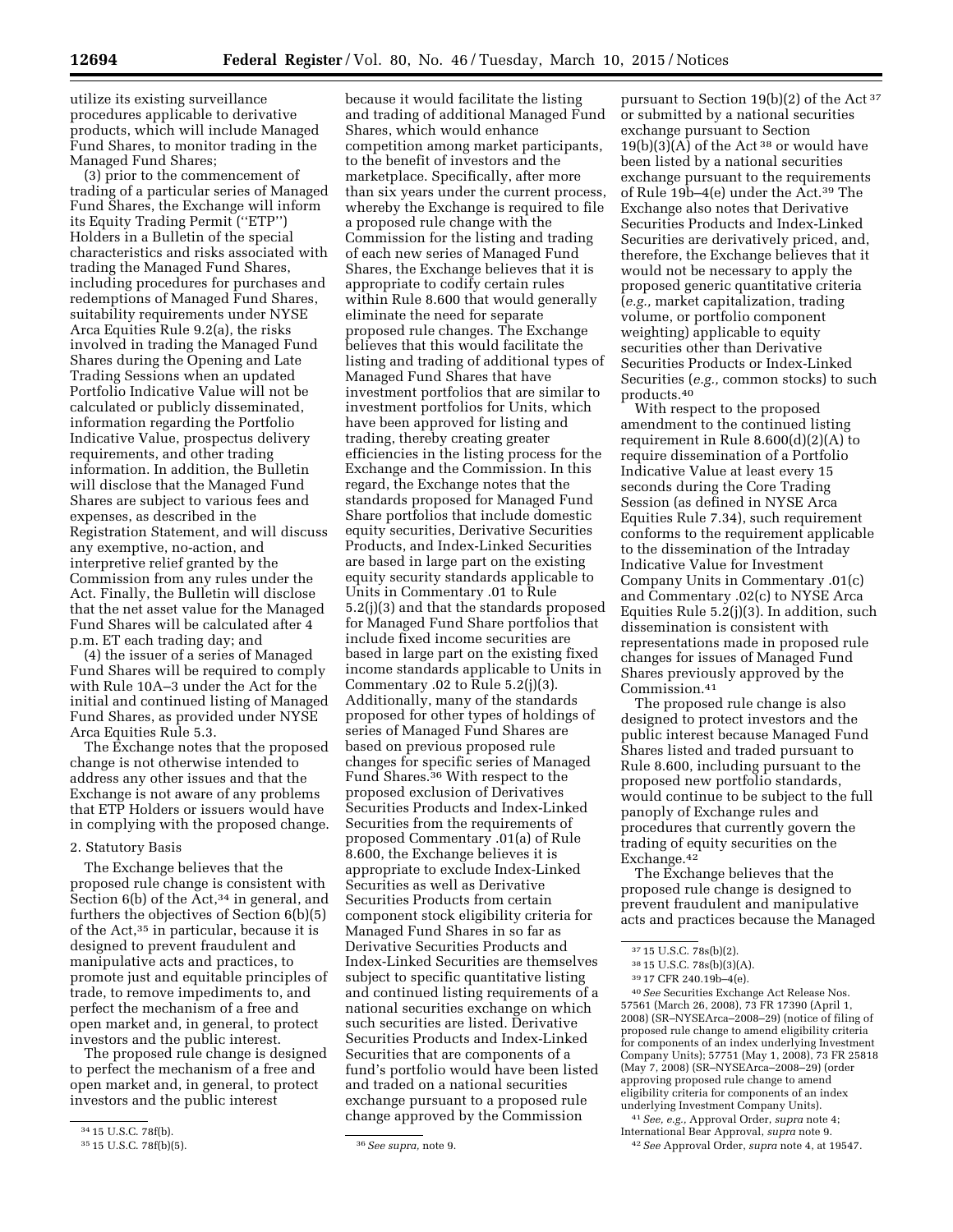utilize its existing surveillance procedures applicable to derivative products, which will include Managed Fund Shares, to monitor trading in the Managed Fund Shares;

(3) prior to the commencement of trading of a particular series of Managed Fund Shares, the Exchange will inform its Equity Trading Permit (''ETP'') Holders in a Bulletin of the special characteristics and risks associated with trading the Managed Fund Shares, including procedures for purchases and redemptions of Managed Fund Shares, suitability requirements under NYSE Arca Equities Rule 9.2(a), the risks involved in trading the Managed Fund Shares during the Opening and Late Trading Sessions when an updated Portfolio Indicative Value will not be calculated or publicly disseminated, information regarding the Portfolio Indicative Value, prospectus delivery requirements, and other trading information. In addition, the Bulletin will disclose that the Managed Fund Shares are subject to various fees and expenses, as described in the Registration Statement, and will discuss any exemptive, no-action, and interpretive relief granted by the Commission from any rules under the Act. Finally, the Bulletin will disclose that the net asset value for the Managed Fund Shares will be calculated after 4 p.m. ET each trading day; and

(4) the issuer of a series of Managed Fund Shares will be required to comply with Rule 10A–3 under the Act for the initial and continued listing of Managed Fund Shares, as provided under NYSE Arca Equities Rule 5.3.

The Exchange notes that the proposed change is not otherwise intended to address any other issues and that the Exchange is not aware of any problems that ETP Holders or issuers would have in complying with the proposed change.

### 2. Statutory Basis

The Exchange believes that the proposed rule change is consistent with Section  $6(b)$  of the Act,<sup>34</sup> in general, and furthers the objectives of Section 6(b)(5) of the Act,35 in particular, because it is designed to prevent fraudulent and manipulative acts and practices, to promote just and equitable principles of trade, to remove impediments to, and perfect the mechanism of a free and open market and, in general, to protect investors and the public interest.

The proposed rule change is designed to perfect the mechanism of a free and open market and, in general, to protect investors and the public interest

because it would facilitate the listing and trading of additional Managed Fund Shares, which would enhance competition among market participants, to the benefit of investors and the marketplace. Specifically, after more than six years under the current process, whereby the Exchange is required to file a proposed rule change with the Commission for the listing and trading of each new series of Managed Fund Shares, the Exchange believes that it is appropriate to codify certain rules within Rule 8.600 that would generally eliminate the need for separate proposed rule changes. The Exchange believes that this would facilitate the listing and trading of additional types of Managed Fund Shares that have investment portfolios that are similar to investment portfolios for Units, which have been approved for listing and trading, thereby creating greater efficiencies in the listing process for the Exchange and the Commission. In this regard, the Exchange notes that the standards proposed for Managed Fund Share portfolios that include domestic equity securities, Derivative Securities Products, and Index-Linked Securities are based in large part on the existing equity security standards applicable to Units in Commentary .01 to Rule 5.2(j)(3) and that the standards proposed for Managed Fund Share portfolios that include fixed income securities are based in large part on the existing fixed income standards applicable to Units in Commentary .02 to Rule 5.2(j)(3). Additionally, many of the standards proposed for other types of holdings of series of Managed Fund Shares are based on previous proposed rule changes for specific series of Managed Fund Shares.36 With respect to the proposed exclusion of Derivatives Securities Products and Index-Linked Securities from the requirements of proposed Commentary .01(a) of Rule 8.600, the Exchange believes it is appropriate to exclude Index-Linked Securities as well as Derivative Securities Products from certain component stock eligibility criteria for Managed Fund Shares in so far as Derivative Securities Products and Index-Linked Securities are themselves subject to specific quantitative listing and continued listing requirements of a national securities exchange on which such securities are listed. Derivative Securities Products and Index-Linked Securities that are components of a fund's portfolio would have been listed and traded on a national securities exchange pursuant to a proposed rule change approved by the Commission

pursuant to Section 19(b)(2) of the Act 37 or submitted by a national securities exchange pursuant to Section  $19(b)(3)(A)$  of the Act<sup>38</sup> or would have been listed by a national securities exchange pursuant to the requirements of Rule 19b–4(e) under the Act.39 The Exchange also notes that Derivative Securities Products and Index-Linked Securities are derivatively priced, and, therefore, the Exchange believes that it would not be necessary to apply the proposed generic quantitative criteria (*e.g.,* market capitalization, trading volume, or portfolio component weighting) applicable to equity securities other than Derivative Securities Products or Index-Linked Securities (*e.g.,* common stocks) to such products.40

With respect to the proposed amendment to the continued listing requirement in Rule 8.600(d)(2)(A) to require dissemination of a Portfolio Indicative Value at least every 15 seconds during the Core Trading Session (as defined in NYSE Arca Equities Rule 7.34), such requirement conforms to the requirement applicable to the dissemination of the Intraday Indicative Value for Investment Company Units in Commentary .01(c) and Commentary .02(c) to NYSE Arca Equities Rule 5.2(j)(3). In addition, such dissemination is consistent with representations made in proposed rule changes for issues of Managed Fund Shares previously approved by the Commission.41

The proposed rule change is also designed to protect investors and the public interest because Managed Fund Shares listed and traded pursuant to Rule 8.600, including pursuant to the proposed new portfolio standards, would continue to be subject to the full panoply of Exchange rules and procedures that currently govern the trading of equity securities on the Exchange.42

The Exchange believes that the proposed rule change is designed to prevent fraudulent and manipulative acts and practices because the Managed

40*See* Securities Exchange Act Release Nos. 57561 (March 26, 2008), 73 FR 17390 (April 1, 2008) (SR–NYSEArca–2008–29) (notice of filing of proposed rule change to amend eligibility criteria for components of an index underlying Investment Company Units); 57751 (May 1, 2008), 73 FR 25818 (May 7, 2008) (SR–NYSEArca–2008–29) (order approving proposed rule change to amend eligibility criteria for components of an index underlying Investment Company Units).

41*See, e.g.,* Approval Order, *supra* note 4; International Bear Approval, *supra* note 9.

42*See* Approval Order, *supra* note 4, at 19547.

<sup>34</sup> 15 U.S.C. 78f(b).

<sup>35</sup> 15 U.S.C. 78f(b)(5). 36*See supra,* note 9.

<sup>37</sup> 15 U.S.C. 78s(b)(2).

<sup>38</sup> 15 U.S.C. 78s(b)(3)(A).

<sup>39</sup> 17 CFR 240.19b–4(e).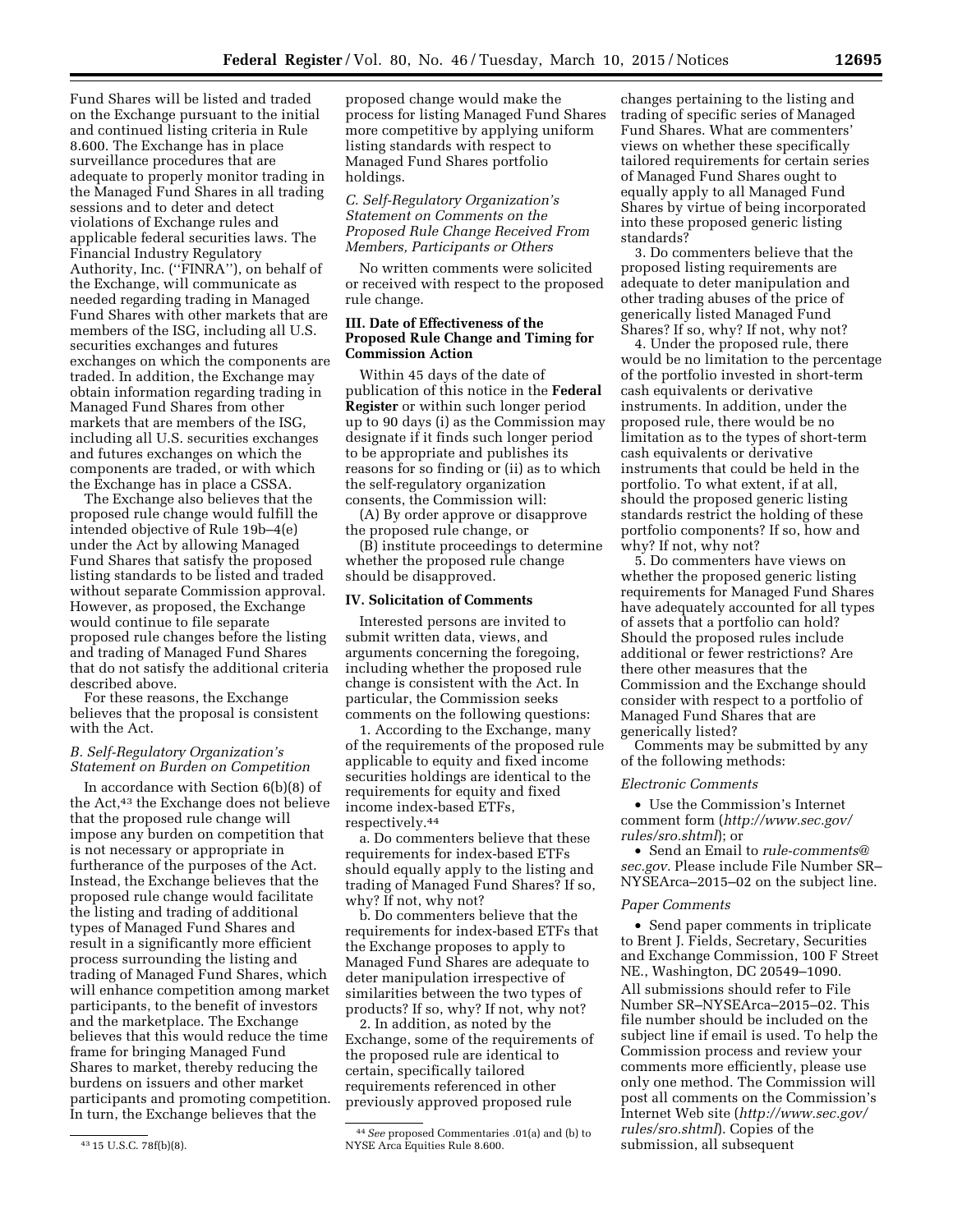Fund Shares will be listed and traded on the Exchange pursuant to the initial and continued listing criteria in Rule 8.600. The Exchange has in place surveillance procedures that are adequate to properly monitor trading in the Managed Fund Shares in all trading sessions and to deter and detect violations of Exchange rules and applicable federal securities laws. The Financial Industry Regulatory Authority, Inc. (''FINRA''), on behalf of the Exchange, will communicate as needed regarding trading in Managed Fund Shares with other markets that are members of the ISG, including all U.S. securities exchanges and futures exchanges on which the components are traded. In addition, the Exchange may obtain information regarding trading in Managed Fund Shares from other markets that are members of the ISG, including all U.S. securities exchanges and futures exchanges on which the components are traded, or with which the Exchange has in place a CSSA.

The Exchange also believes that the proposed rule change would fulfill the intended objective of Rule 19b–4(e) under the Act by allowing Managed Fund Shares that satisfy the proposed listing standards to be listed and traded without separate Commission approval. However, as proposed, the Exchange would continue to file separate proposed rule changes before the listing and trading of Managed Fund Shares that do not satisfy the additional criteria described above.

For these reasons, the Exchange believes that the proposal is consistent with the Act.

# *B. Self-Regulatory Organization's Statement on Burden on Competition*

In accordance with Section 6(b)(8) of the Act,43 the Exchange does not believe that the proposed rule change will impose any burden on competition that is not necessary or appropriate in furtherance of the purposes of the Act. Instead, the Exchange believes that the proposed rule change would facilitate the listing and trading of additional types of Managed Fund Shares and result in a significantly more efficient process surrounding the listing and trading of Managed Fund Shares, which will enhance competition among market participants, to the benefit of investors and the marketplace. The Exchange believes that this would reduce the time frame for bringing Managed Fund Shares to market, thereby reducing the burdens on issuers and other market participants and promoting competition. In turn, the Exchange believes that the

proposed change would make the process for listing Managed Fund Shares more competitive by applying uniform listing standards with respect to Managed Fund Shares portfolio holdings.

# *C. Self-Regulatory Organization's Statement on Comments on the Proposed Rule Change Received From Members, Participants or Others*

No written comments were solicited or received with respect to the proposed rule change.

# **III. Date of Effectiveness of the Proposed Rule Change and Timing for Commission Action**

Within 45 days of the date of publication of this notice in the **Federal Register** or within such longer period up to 90 days (i) as the Commission may designate if it finds such longer period to be appropriate and publishes its reasons for so finding or (ii) as to which the self-regulatory organization consents, the Commission will:

(A) By order approve or disapprove the proposed rule change, or

(B) institute proceedings to determine whether the proposed rule change should be disapproved.

# **IV. Solicitation of Comments**

Interested persons are invited to submit written data, views, and arguments concerning the foregoing, including whether the proposed rule change is consistent with the Act. In particular, the Commission seeks comments on the following questions:

1. According to the Exchange, many of the requirements of the proposed rule applicable to equity and fixed income securities holdings are identical to the requirements for equity and fixed income index-based ETFs, respectively.44

a. Do commenters believe that these requirements for index-based ETFs should equally apply to the listing and trading of Managed Fund Shares? If so, why? If not, why not?

b. Do commenters believe that the requirements for index-based ETFs that the Exchange proposes to apply to Managed Fund Shares are adequate to deter manipulation irrespective of similarities between the two types of products? If so, why? If not, why not?

2. In addition, as noted by the Exchange, some of the requirements of the proposed rule are identical to certain, specifically tailored requirements referenced in other previously approved proposed rule

changes pertaining to the listing and trading of specific series of Managed Fund Shares. What are commenters' views on whether these specifically tailored requirements for certain series of Managed Fund Shares ought to equally apply to all Managed Fund Shares by virtue of being incorporated into these proposed generic listing standards?

3. Do commenters believe that the proposed listing requirements are adequate to deter manipulation and other trading abuses of the price of generically listed Managed Fund Shares? If so, why? If not, why not?

4. Under the proposed rule, there would be no limitation to the percentage of the portfolio invested in short-term cash equivalents or derivative instruments. In addition, under the proposed rule, there would be no limitation as to the types of short-term cash equivalents or derivative instruments that could be held in the portfolio. To what extent, if at all, should the proposed generic listing standards restrict the holding of these portfolio components? If so, how and why? If not, why not?

5. Do commenters have views on whether the proposed generic listing requirements for Managed Fund Shares have adequately accounted for all types of assets that a portfolio can hold? Should the proposed rules include additional or fewer restrictions? Are there other measures that the Commission and the Exchange should consider with respect to a portfolio of Managed Fund Shares that are generically listed?

Comments may be submitted by any of the following methods:

#### *Electronic Comments*

• Use the Commission's Internet comment form (*[http://www.sec.gov/](http://www.sec.gov/rules/sro.shtml) [rules/sro.shtml](http://www.sec.gov/rules/sro.shtml)*); or

• Send an Email to *[rule-comments@](mailto:rule-comments@sec.gov) [sec.gov.](mailto:rule-comments@sec.gov)* Please include File Number SR– NYSEArca–2015–02 on the subject line.

#### *Paper Comments*

• Send paper comments in triplicate to Brent J. Fields, Secretary, Securities and Exchange Commission, 100 F Street NE., Washington, DC 20549–1090. All submissions should refer to File Number SR–NYSEArca–2015–02. This file number should be included on the subject line if email is used. To help the Commission process and review your comments more efficiently, please use only one method. The Commission will post all comments on the Commission's Internet Web site (*[http://www.sec.gov/](http://www.sec.gov/rules/sro.shtml) [rules/sro.shtml](http://www.sec.gov/rules/sro.shtml)*). Copies of the submission, all subsequent

<sup>43</sup> 15 U.S.C. 78f(b)(8).

<sup>44</sup>*See* proposed Commentaries .01(a) and (b) to NYSE Arca Equities Rule 8.600.